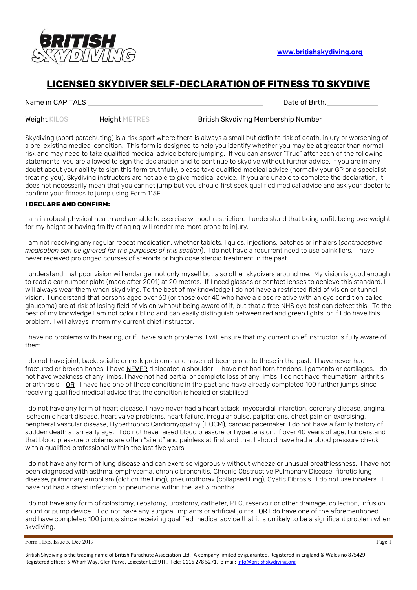

## **LICENSED SKYDIVER SELF-DECLARATION OF FITNESS TO SKYDIVE**

Name in CAPITALS **Date of Birth.** Date of Birth.

Weight KILOS **Height METRES** British Skydiving Membership Number

Skydiving (sport parachuting) is a risk sport where there is always a small but definite risk of death, injury or worsening of a pre-existing medical condition. This form is designed to help you identify whether you may be at greater than normal risk and may need to take qualified medical advice before jumping. If you can answer "True" after each of the following statements, you are allowed to sign the declaration and to continue to skydive without further advice. If you are in any doubt about your ability to sign this form truthfully, please take qualified medical advice (normally your GP or a specialist treating you). Skydiving instructors are not able to give medical advice. If you are unable to complete the declaration, it does not necessarily mean that you cannot jump but you should first seek qualified medical advice and ask your doctor to confirm your fitness to jump using Form 115F.

## **I DECLARE AND CONFIRM:**

I am in robust physical health and am able to exercise without restriction. I understand that being unfit, being overweight for my height or having frailty of aging will render me more prone to injury.

I am not receiving any regular repeat medication, whether tablets, liquids, injections, patches or inhalers (*contraceptive medication can be ignored for the purposes of this section*). I do not have a recurrent need to use painkillers. I have never received prolonged courses of steroids or high dose steroid treatment in the past.

I understand that poor vision will endanger not only myself but also other skydivers around me. My vision is good enough to read a car number plate (made after 2001) at 20 metres. If I need glasses or contact lenses to achieve this standard, I will always wear them when skydiving. To the best of my knowledge I do not have a restricted field of vision or tunnel vision. I understand that persons aged over 60 (or those over 40 who have a close relative with an eye condition called glaucoma) are at risk of losing field of vision without being aware of it, but that a free NHS eye test can detect this. To the best of my knowledge I am not colour blind and can easily distinguish between red and green lights, or if I do have this problem, I will always inform my current chief instructor.

I have no problems with hearing, or if I have such problems, I will ensure that my current chief instructor is fully aware of them.

I do not have joint, back, sciatic or neck problems and have not been prone to these in the past. I have never had fractured or broken bones. I have NEVER dislocated a shoulder. I have not had torn tendons, ligaments or cartilages. I do not have weakness of any limbs. I have not had partial or complete loss of any limbs. I do not have rheumatism, arthritis or arthrosis. OR I have had one of these conditions in the past and have already completed 100 further jumps since receiving qualified medical advice that the condition is healed or stabilised.

I do not have any form of heart disease. I have never had a heart attack, myocardial infarction, coronary disease, angina, ischaemic heart disease, heart valve problems, heart failure, irregular pulse, palpitations, chest pain on exercising, peripheral vascular disease, Hypertrophic Cardiomyopathy (HOCM), cardiac pacemaker. I do not have a family history of sudden death at an early age. I do not have raised blood pressure or hypertension. If over 40 years of age, I understand that blood pressure problems are often "silent" and painless at first and that I should have had a blood pressure check with a qualified professional within the last five years.

I do not have any form of lung disease and can exercise vigorously without wheeze or unusual breathlessness. I have not been diagnosed with asthma, emphysema, chronic bronchitis, Chronic Obstructive Pulmonary Disease, fibrotic lung disease, pulmonary embolism (clot on the lung), pneumothorax (collapsed lung), Cystic Fibrosis. I do not use inhalers. I have not had a chest infection or pneumonia within the last 3 months.

I do not have any form of colostomy, ileostomy, urostomy, catheter, PEG, reservoir or other drainage, collection, infusion, shunt or pump device. I do not have any surgical implants or artificial joints.  $OR$  I do have one of the aforementioned and have completed 100 jumps since receiving qualified medical advice that it is unlikely to be a significant problem when skydiving.

```
Form 115E, Issue 5, Dec 2019 Page 1
```
British Skydiving is the trading name of British Parachute Association Ltd. A company limited by guarantee. Registered in England & Wales no 875429. Registered office: 5 Wharf Way, Glen Parva, Leicester LE2 9TF. Tele: 0116 278 5271. e-mail: info@britishskydiving.org